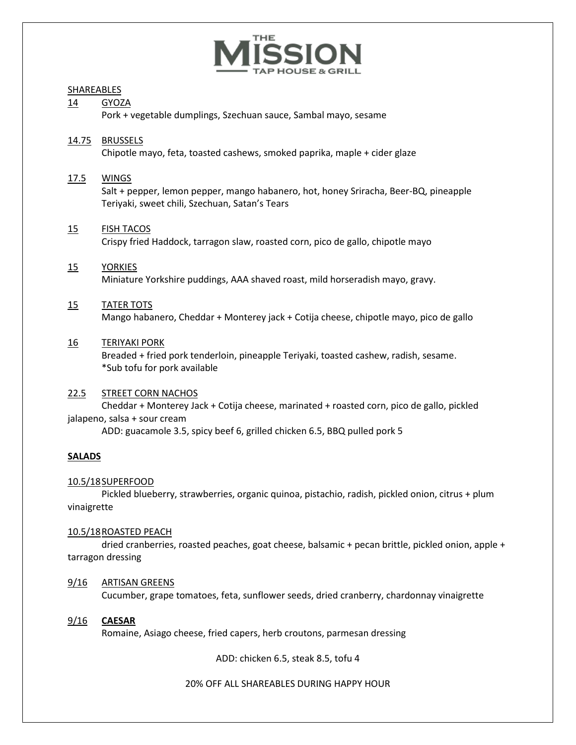

#### SHAREABLES

#### 14 GYOZA

Pork + vegetable dumplings, Szechuan sauce, Sambal mayo, sesame

#### 14.75 BRUSSELS

Chipotle mayo, feta, toasted cashews, smoked paprika, maple + cider glaze

#### 17.5 WINGS

Salt + pepper, lemon pepper, mango habanero, hot, honey Sriracha, Beer-BQ, pineapple Teriyaki, sweet chili, Szechuan, Satan's Tears

#### 15 FISH TACOS

Crispy fried Haddock, tarragon slaw, roasted corn, pico de gallo, chipotle mayo

#### 15 YORKIES

Miniature Yorkshire puddings, AAA shaved roast, mild horseradish mayo, gravy.

#### 15 TATER TOTS

Mango habanero, Cheddar + Monterey jack + Cotija cheese, chipotle mayo, pico de gallo

#### 16 TERIYAKI PORK

Breaded + fried pork tenderloin, pineapple Teriyaki, toasted cashew, radish, sesame. \*Sub tofu for pork available

#### 22.5 STREET CORN NACHOS

Cheddar + Monterey Jack + Cotija cheese, marinated + roasted corn, pico de gallo, pickled jalapeno, salsa + sour cream

ADD: guacamole 3.5, spicy beef 6, grilled chicken 6.5, BBQ pulled pork 5

#### **SALADS**

#### 10.5/18SUPERFOOD

Pickled blueberry, strawberries, organic quinoa, pistachio, radish, pickled onion, citrus + plum vinaigrette

#### 10.5/18ROASTED PEACH

dried cranberries, roasted peaches, goat cheese, balsamic + pecan brittle, pickled onion, apple + tarragon dressing

#### 9/16 ARTISAN GREENS

Cucumber, grape tomatoes, feta, sunflower seeds, dried cranberry, chardonnay vinaigrette

#### 9/16 **CAESAR**

Romaine, Asiago cheese, fried capers, herb croutons, parmesan dressing

ADD: chicken 6.5, steak 8.5, tofu 4

20% OFF ALL SHAREABLES DURING HAPPY HOUR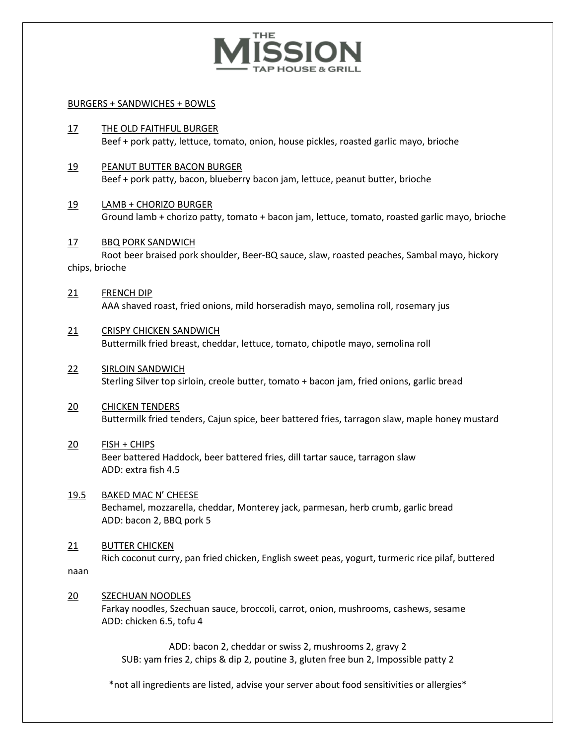

#### BURGERS + SANDWICHES + BOWLS

- 17 THE OLD FAITHFUL BURGER Beef + pork patty, lettuce, tomato, onion, house pickles, roasted garlic mayo, brioche
- 19 PEANUT BUTTER BACON BURGER Beef + pork patty, bacon, blueberry bacon jam, lettuce, peanut butter, brioche
- 19 LAMB + CHORIZO BURGER Ground lamb + chorizo patty, tomato + bacon jam, lettuce, tomato, roasted garlic mayo, brioche
- 17 BBQ PORK SANDWICH Root beer braised pork shoulder, Beer-BQ sauce, slaw, roasted peaches, Sambal mayo, hickory chips, brioche
- 21 FRENCH DIP AAA shaved roast, fried onions, mild horseradish mayo, semolina roll, rosemary jus
- 21 CRISPY CHICKEN SANDWICH Buttermilk fried breast, cheddar, lettuce, tomato, chipotle mayo, semolina roll
- 22 SIRLOIN SANDWICH Sterling Silver top sirloin, creole butter, tomato + bacon jam, fried onions, garlic bread
- 20 **CHICKEN TENDERS** Buttermilk fried tenders, Cajun spice, beer battered fries, tarragon slaw, maple honey mustard

## 20 FISH + CHIPS Beer battered Haddock, beer battered fries, dill tartar sauce, tarragon slaw

ADD: extra fish 4.5 19.5 BAKED MAC N' CHEESE

Bechamel, mozzarella, cheddar, Monterey jack, parmesan, herb crumb, garlic bread ADD: bacon 2, BBQ pork 5

#### 21 BUTTER CHICKEN

Rich coconut curry, pan fried chicken, English sweet peas, yogurt, turmeric rice pilaf, buttered naan

#### 20 SZECHUAN NOODLES

Farkay noodles, Szechuan sauce, broccoli, carrot, onion, mushrooms, cashews, sesame ADD: chicken 6.5, tofu 4

ADD: bacon 2, cheddar or swiss 2, mushrooms 2, gravy 2 SUB: yam fries 2, chips & dip 2, poutine 3, gluten free bun 2, Impossible patty 2

\*not all ingredients are listed, advise your server about food sensitivities or allergies\*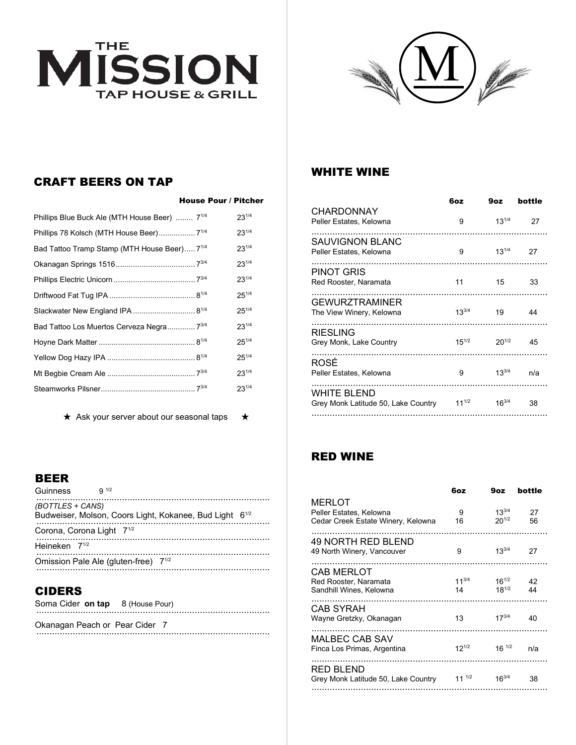



# CRAFT BEERS ON TAP

|                                                          | <b>House Pour / Pitcher</b> |            |
|----------------------------------------------------------|-----------------------------|------------|
| Phillips Blue Buck Ale (MTH House Beer)                  | $7^{1/4}$                   | $23^{1/4}$ |
| Phillips 78 Kolsch (MTH House Beer) 7 <sup>1/4</sup>     |                             | $23^{1/4}$ |
| Bad Tattoo Tramp Stamp (MTH House Beer) 7 <sup>1/4</sup> |                             | $23^{1/4}$ |
|                                                          |                             | $23^{1/4}$ |
|                                                          |                             | $23^{1/4}$ |
|                                                          |                             | $25^{1/4}$ |
| Slackwater New England IPA  8 <sup>1/4</sup>             |                             | $25^{1/4}$ |
| Bad Tattoo Los Muertos Cerveza Negra 7 <sup>3/4</sup>    |                             | $23^{1/4}$ |
|                                                          |                             | $25^{1/4}$ |
|                                                          |                             | $25^{1/4}$ |
|                                                          |                             | $23^{1/4}$ |
|                                                          |                             | $23^{1/4}$ |

★ Ask your server about our seasonal taps ★

## WHITE WINE

|                                                    | 6oz        | 9oz        | bottle |
|----------------------------------------------------|------------|------------|--------|
| <b>CHARDONNAY</b><br>Peller Estates, Kelowna       | 9          | $13^{1/4}$ | 27     |
| <b>SAUVIGNON BLANC</b><br>Peller Estates, Kelowna  | 9          | $13^{1/4}$ | 27     |
| <b>PINOT GRIS</b><br>Red Rooster, Naramata         | 11         | 15         | 33     |
| <b>GEWURZTRAMINER</b><br>The View Winery, Kelowna  | $13^{3/4}$ | 19         | 44     |
| <b>RIESLING</b><br>Grey Monk, Lake Country         | $15^{1/2}$ | $20^{1/2}$ | 45     |
| ROSÉ<br>Peller Estates, Kelowna                    | 9          | $13^{3/4}$ | n/a    |
| WHITE BLEND<br>Grey Monk Latitude 50, Lake Country | $11^{1/2}$ | $16^{3/4}$ | 38     |
|                                                    |            |            |        |

# RED WINE

|                                     | 6oz        | 9oz        | bottle |
|-------------------------------------|------------|------------|--------|
| <b>MERLOT</b>                       |            |            |        |
| Peller Estates, Kelowna             | 9          | $13^{3/4}$ | 27     |
| Cedar Creek Estate Winery, Kelowna  | 16         | $20^{1/2}$ | 56     |
|                                     |            |            |        |
| 49 NORTH RED BLEND                  | 9          | $13^{3/4}$ | 27     |
| 49 North Winery, Vancouver          |            |            |        |
| CAB MERLOT                          |            |            |        |
| Red Rooster, Naramata               | $11^{3/4}$ | $16^{1/2}$ | 42     |
| Sandhill Wines, Kelowna             | 14         | $18^{1/2}$ | 44     |
|                                     |            |            |        |
| CAB SYRAH                           |            | $17^{3/4}$ |        |
| Wayne Gretzky, Okanagan             | 13         |            | 40     |
| <b>MALBEC CAB SAV</b>               |            |            |        |
| Finca Los Primas, Argentina         | $12^{1/2}$ | $16^{1/2}$ | n/a    |
|                                     |            |            |        |
| RED BLEND                           |            |            |        |
| Grey Monk Latitude 50, Lake Country | $11^{1/2}$ | $16^{3/4}$ | 38     |
|                                     |            |            |        |

#### BEER

| Guinness                              | Q 1/2                                     |                                                                     |  |
|---------------------------------------|-------------------------------------------|---------------------------------------------------------------------|--|
| (BOTTLES + CANS)                      |                                           | Budweiser, Molson, Coors Light, Kokanee, Bud Light 6 <sup>1/2</sup> |  |
| Corona, Corona Light 7 <sup>1/2</sup> |                                           |                                                                     |  |
| Heineken 7 <sup>1/2</sup>             |                                           |                                                                     |  |
|                                       | Omission Pale Ale (gluten-free) $7^{1/2}$ |                                                                     |  |
|                                       |                                           |                                                                     |  |

## CIDERS

|  | Soma Cider on tap 8 (House Pour) |
|--|----------------------------------|
|  |                                  |

Okanagan Peach or Pear Cider 7 ..........................................................................................